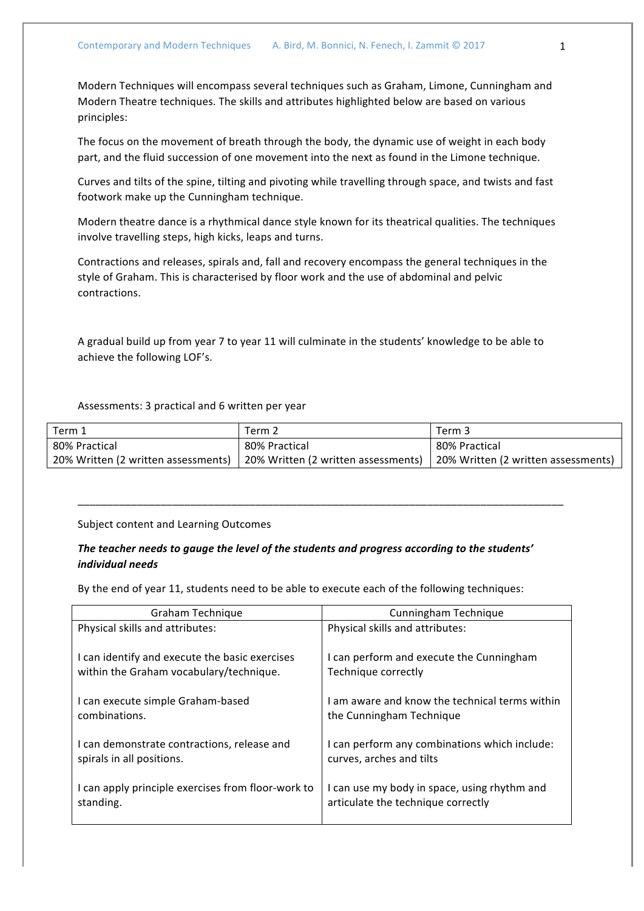Modern Techniques will encompass several techniques such as Graham, Limone, Cunningham and Modern Theatre techniques. The skills and attributes highlighted below are based on various principles:

The focus on the movement of breath through the body, the dynamic use of weight in each body part, and the fluid succession of one movement into the next as found in the Limone technique.

Curves and tilts of the spine, tilting and pivoting while travelling through space, and twists and fast footwork make up the Cunningham technique.

Modern theatre dance is a rhythmical dance style known for its theatrical qualities. The techniques involve travelling steps, high kicks, leaps and turns.

Contractions and releases, spirals and, fall and recovery encompass the general techniques in the style of Graham. This is characterised by floor work and the use of abdominal and pelvic contractions. 

A gradual build up from year 7 to year 11 will culminate in the students' knowledge to be able to achieve the following LOF's.

Assessments: 3 practical and 6 written per year

| Term 1                              | Term 2                                                                    | Term 3        |
|-------------------------------------|---------------------------------------------------------------------------|---------------|
| 80% Practical                       | 80% Practical                                                             | 80% Practical |
| 20% Written (2 written assessments) | 20% Written (2 written assessments)   20% Written (2 written assessments) |               |

Subject content and Learning Outcomes

## The teacher needs to gauge the level of the students and progress according to the students' *individual needs*

\_\_\_\_\_\_\_\_\_\_\_\_\_\_\_\_\_\_\_\_\_\_\_\_\_\_\_\_\_\_\_\_\_\_\_\_\_\_\_\_\_\_\_\_\_\_\_\_\_\_\_\_\_\_\_\_\_\_\_\_\_\_\_\_\_\_\_\_\_\_\_\_\_\_\_\_\_\_\_\_\_\_

By the end of year 11, students need to be able to execute each of the following techniques:

| Graham Technique                                   | Cunningham Technique                           |
|----------------------------------------------------|------------------------------------------------|
| Physical skills and attributes:                    | Physical skills and attributes:                |
| I can identify and execute the basic exercises     | I can perform and execute the Cunningham       |
| within the Graham vocabulary/technique.            | Technique correctly                            |
| I can execute simple Graham-based                  | I am aware and know the technical terms within |
| combinations.                                      | the Cunningham Technique                       |
| I can demonstrate contractions, release and        | I can perform any combinations which include:  |
| spirals in all positions.                          | curves, arches and tilts                       |
| I can apply principle exercises from floor-work to | I can use my body in space, using rhythm and   |
| standing.                                          | articulate the technique correctly             |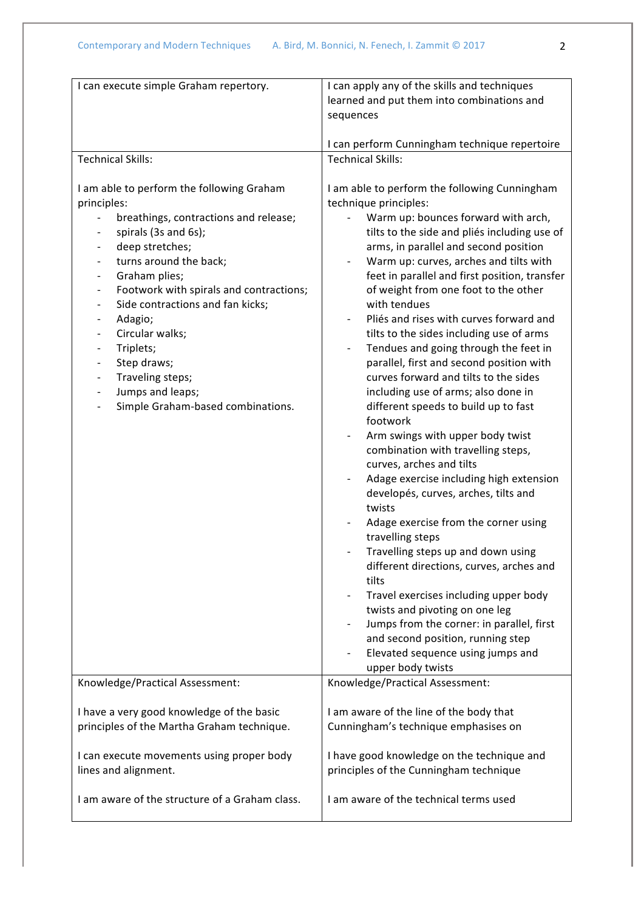| I can execute simple Graham repertory.                                                                                                                                                                                                                                                                                                                                                                                                                                                                                     | I can apply any of the skills and techniques<br>learned and put them into combinations and<br>sequences                                                                                                                                                                                                                                                                                                                                                                                                                                                                                                                                                                                                                                                                                                                                                                                                                                                                                                                                                                                                                                                                                                                                                                                |  |
|----------------------------------------------------------------------------------------------------------------------------------------------------------------------------------------------------------------------------------------------------------------------------------------------------------------------------------------------------------------------------------------------------------------------------------------------------------------------------------------------------------------------------|----------------------------------------------------------------------------------------------------------------------------------------------------------------------------------------------------------------------------------------------------------------------------------------------------------------------------------------------------------------------------------------------------------------------------------------------------------------------------------------------------------------------------------------------------------------------------------------------------------------------------------------------------------------------------------------------------------------------------------------------------------------------------------------------------------------------------------------------------------------------------------------------------------------------------------------------------------------------------------------------------------------------------------------------------------------------------------------------------------------------------------------------------------------------------------------------------------------------------------------------------------------------------------------|--|
| <b>Technical Skills:</b>                                                                                                                                                                                                                                                                                                                                                                                                                                                                                                   | I can perform Cunningham technique repertoire<br><b>Technical Skills:</b>                                                                                                                                                                                                                                                                                                                                                                                                                                                                                                                                                                                                                                                                                                                                                                                                                                                                                                                                                                                                                                                                                                                                                                                                              |  |
| I am able to perform the following Graham<br>principles:<br>breathings, contractions and release;<br>spirals (3s and 6s);<br>deep stretches;<br>turns around the back;<br>Graham plies;<br>Footwork with spirals and contractions;<br>Side contractions and fan kicks;<br>Adagio;<br>Circular walks;<br>$\overline{\phantom{a}}$<br>Triplets;<br>Step draws;<br>$\qquad \qquad \blacksquare$<br>Traveling steps;<br>Jumps and leaps;<br>$\qquad \qquad -$<br>Simple Graham-based combinations.<br>$\overline{\phantom{0}}$ | I am able to perform the following Cunningham<br>technique principles:<br>Warm up: bounces forward with arch,<br>tilts to the side and pliés including use of<br>arms, in parallel and second position<br>Warm up: curves, arches and tilts with<br>feet in parallel and first position, transfer<br>of weight from one foot to the other<br>with tendues<br>Pliés and rises with curves forward and<br>tilts to the sides including use of arms<br>Tendues and going through the feet in<br>parallel, first and second position with<br>curves forward and tilts to the sides<br>including use of arms; also done in<br>different speeds to build up to fast<br>footwork<br>Arm swings with upper body twist<br>combination with travelling steps,<br>curves, arches and tilts<br>Adage exercise including high extension<br>$\overline{\phantom{0}}$<br>developés, curves, arches, tilts and<br>twists<br>Adage exercise from the corner using<br>travelling steps<br>Travelling steps up and down using<br>different directions, curves, arches and<br>tilts<br>Travel exercises including upper body<br>twists and pivoting on one leg<br>Jumps from the corner: in parallel, first<br>and second position, running step<br>Elevated sequence using jumps and<br>upper body twists |  |
| Knowledge/Practical Assessment:                                                                                                                                                                                                                                                                                                                                                                                                                                                                                            | Knowledge/Practical Assessment:                                                                                                                                                                                                                                                                                                                                                                                                                                                                                                                                                                                                                                                                                                                                                                                                                                                                                                                                                                                                                                                                                                                                                                                                                                                        |  |
| I have a very good knowledge of the basic<br>principles of the Martha Graham technique.                                                                                                                                                                                                                                                                                                                                                                                                                                    | I am aware of the line of the body that<br>Cunningham's technique emphasises on                                                                                                                                                                                                                                                                                                                                                                                                                                                                                                                                                                                                                                                                                                                                                                                                                                                                                                                                                                                                                                                                                                                                                                                                        |  |
| I can execute movements using proper body<br>lines and alignment.                                                                                                                                                                                                                                                                                                                                                                                                                                                          | I have good knowledge on the technique and<br>principles of the Cunningham technique                                                                                                                                                                                                                                                                                                                                                                                                                                                                                                                                                                                                                                                                                                                                                                                                                                                                                                                                                                                                                                                                                                                                                                                                   |  |
| I am aware of the structure of a Graham class.                                                                                                                                                                                                                                                                                                                                                                                                                                                                             | I am aware of the technical terms used                                                                                                                                                                                                                                                                                                                                                                                                                                                                                                                                                                                                                                                                                                                                                                                                                                                                                                                                                                                                                                                                                                                                                                                                                                                 |  |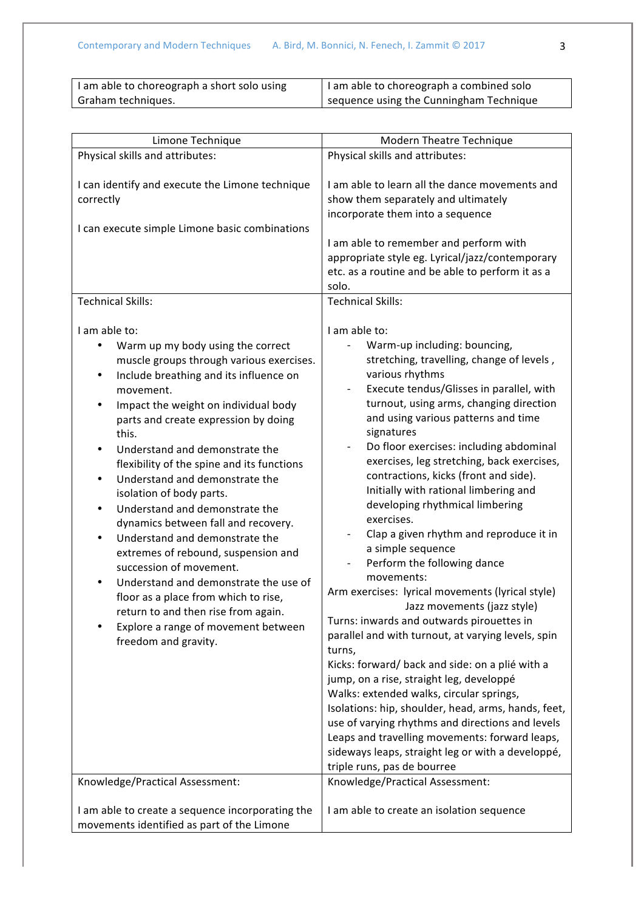| I am able to choreograph a short solo using | I am able to choreograph a combined solo |
|---------------------------------------------|------------------------------------------|
| Graham techniques.                          | sequence using the Cunningham Technique  |

| Limone Technique                                                                                                                                                                                                                                                                                                                                                                                                                                                                                                                                                                                                                                                                                                                                                                                                                                                    | Modern Theatre Technique                                                                                                                                                                                                                                                                                                                                                                                                                                                                                                                                                                                                                                                                                                                                                                                                                                                                                                                                                                                                                                                                                                                                                                                                                                                                                              |
|---------------------------------------------------------------------------------------------------------------------------------------------------------------------------------------------------------------------------------------------------------------------------------------------------------------------------------------------------------------------------------------------------------------------------------------------------------------------------------------------------------------------------------------------------------------------------------------------------------------------------------------------------------------------------------------------------------------------------------------------------------------------------------------------------------------------------------------------------------------------|-----------------------------------------------------------------------------------------------------------------------------------------------------------------------------------------------------------------------------------------------------------------------------------------------------------------------------------------------------------------------------------------------------------------------------------------------------------------------------------------------------------------------------------------------------------------------------------------------------------------------------------------------------------------------------------------------------------------------------------------------------------------------------------------------------------------------------------------------------------------------------------------------------------------------------------------------------------------------------------------------------------------------------------------------------------------------------------------------------------------------------------------------------------------------------------------------------------------------------------------------------------------------------------------------------------------------|
| Physical skills and attributes:                                                                                                                                                                                                                                                                                                                                                                                                                                                                                                                                                                                                                                                                                                                                                                                                                                     | Physical skills and attributes:                                                                                                                                                                                                                                                                                                                                                                                                                                                                                                                                                                                                                                                                                                                                                                                                                                                                                                                                                                                                                                                                                                                                                                                                                                                                                       |
| I can identify and execute the Limone technique<br>correctly<br>I can execute simple Limone basic combinations                                                                                                                                                                                                                                                                                                                                                                                                                                                                                                                                                                                                                                                                                                                                                      | I am able to learn all the dance movements and<br>show them separately and ultimately<br>incorporate them into a sequence<br>I am able to remember and perform with<br>appropriate style eg. Lyrical/jazz/contemporary<br>etc. as a routine and be able to perform it as a<br>solo.                                                                                                                                                                                                                                                                                                                                                                                                                                                                                                                                                                                                                                                                                                                                                                                                                                                                                                                                                                                                                                   |
| <b>Technical Skills:</b>                                                                                                                                                                                                                                                                                                                                                                                                                                                                                                                                                                                                                                                                                                                                                                                                                                            | <b>Technical Skills:</b>                                                                                                                                                                                                                                                                                                                                                                                                                                                                                                                                                                                                                                                                                                                                                                                                                                                                                                                                                                                                                                                                                                                                                                                                                                                                                              |
| I am able to:<br>Warm up my body using the correct<br>٠<br>muscle groups through various exercises.<br>Include breathing and its influence on<br>٠<br>movement.<br>Impact the weight on individual body<br>٠<br>parts and create expression by doing<br>this.<br>Understand and demonstrate the<br>$\bullet$<br>flexibility of the spine and its functions<br>Understand and demonstrate the<br>$\bullet$<br>isolation of body parts.<br>Understand and demonstrate the<br>٠<br>dynamics between fall and recovery.<br>Understand and demonstrate the<br>$\bullet$<br>extremes of rebound, suspension and<br>succession of movement.<br>Understand and demonstrate the use of<br>floor as a place from which to rise,<br>return to and then rise from again.<br>Explore a range of movement between<br>٠<br>freedom and gravity.<br>Knowledge/Practical Assessment: | I am able to:<br>Warm-up including: bouncing,<br>stretching, travelling, change of levels,<br>various rhythms<br>Execute tendus/Glisses in parallel, with<br>$\overline{\phantom{a}}$<br>turnout, using arms, changing direction<br>and using various patterns and time<br>signatures<br>Do floor exercises: including abdominal<br>$\overline{\phantom{a}}$<br>exercises, leg stretching, back exercises,<br>contractions, kicks (front and side).<br>Initially with rational limbering and<br>developing rhythmical limbering<br>exercises.<br>Clap a given rhythm and reproduce it in<br>a simple sequence<br>Perform the following dance<br>$\overline{\phantom{a}}$<br>movements:<br>Arm exercises: lyrical movements (lyrical style)<br>Jazz movements (jazz style)<br>Turns: inwards and outwards pirouettes in<br>parallel and with turnout, at varying levels, spin<br>turns,<br>Kicks: forward/ back and side: on a plié with a<br>jump, on a rise, straight leg, developpé<br>Walks: extended walks, circular springs,<br>Isolations: hip, shoulder, head, arms, hands, feet,<br>use of varying rhythms and directions and levels<br>Leaps and travelling movements: forward leaps,<br>sideways leaps, straight leg or with a developpé,<br>triple runs, pas de bourree<br>Knowledge/Practical Assessment: |
| I am able to create a sequence incorporating the<br>movements identified as part of the Limone                                                                                                                                                                                                                                                                                                                                                                                                                                                                                                                                                                                                                                                                                                                                                                      | I am able to create an isolation sequence                                                                                                                                                                                                                                                                                                                                                                                                                                                                                                                                                                                                                                                                                                                                                                                                                                                                                                                                                                                                                                                                                                                                                                                                                                                                             |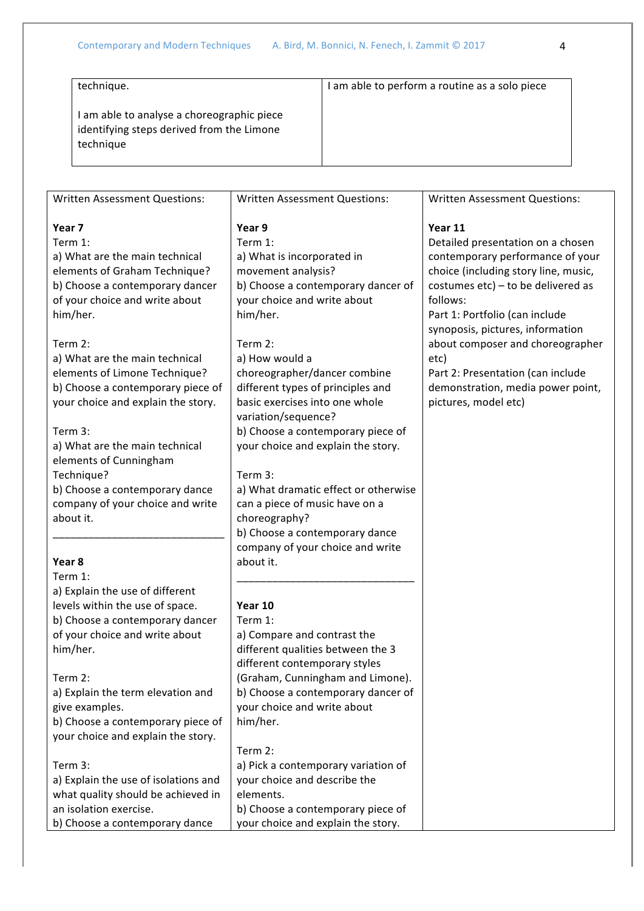| technique.                                                                                         | I am able to perform a routine as a solo piece |
|----------------------------------------------------------------------------------------------------|------------------------------------------------|
| am able to analyse a choreographic piece<br>identifying steps derived from the Limone<br>technique |                                                |

| Written Assessment Questions:        | <b>Written Assessment Questions:</b> | Written Assessment Questions:         |
|--------------------------------------|--------------------------------------|---------------------------------------|
| Year 7                               | Year 9                               | Year 11                               |
| Term 1:                              | Term 1:                              | Detailed presentation on a chosen     |
| a) What are the main technical       | a) What is incorporated in           | contemporary performance of your      |
| elements of Graham Technique?        | movement analysis?                   | choice (including story line, music,  |
| b) Choose a contemporary dancer      | b) Choose a contemporary dancer of   | costumes $etc$ ) – to be delivered as |
| of your choice and write about       | your choice and write about          | follows:                              |
| him/her.                             | him/her.                             | Part 1: Portfolio (can include        |
|                                      |                                      | synoposis, pictures, information      |
| Term 2:                              | Term 2:                              | about composer and choreographer      |
| a) What are the main technical       | a) How would a                       | etc)                                  |
| elements of Limone Technique?        | choreographer/dancer combine         | Part 2: Presentation (can include     |
| b) Choose a contemporary piece of    | different types of principles and    | demonstration, media power point,     |
| your choice and explain the story.   | basic exercises into one whole       | pictures, model etc)                  |
|                                      | variation/sequence?                  |                                       |
| Term 3:                              | b) Choose a contemporary piece of    |                                       |
| a) What are the main technical       | your choice and explain the story.   |                                       |
| elements of Cunningham               |                                      |                                       |
| Technique?                           | Term 3:                              |                                       |
| b) Choose a contemporary dance       | a) What dramatic effect or otherwise |                                       |
| company of your choice and write     | can a piece of music have on a       |                                       |
| about it.                            | choreography?                        |                                       |
|                                      | b) Choose a contemporary dance       |                                       |
|                                      | company of your choice and write     |                                       |
| Year 8                               | about it.                            |                                       |
| Term 1:                              |                                      |                                       |
| a) Explain the use of different      |                                      |                                       |
| levels within the use of space.      | Year 10                              |                                       |
| b) Choose a contemporary dancer      | Term 1:                              |                                       |
| of your choice and write about       | a) Compare and contrast the          |                                       |
| him/her.                             | different qualities between the 3    |                                       |
|                                      | different contemporary styles        |                                       |
| Term 2:                              | (Graham, Cunningham and Limone).     |                                       |
| a) Explain the term elevation and    | b) Choose a contemporary dancer of   |                                       |
| give examples.                       | your choice and write about          |                                       |
| b) Choose a contemporary piece of    | him/her.                             |                                       |
| your choice and explain the story.   |                                      |                                       |
|                                      | Term 2:                              |                                       |
| Term 3:                              | a) Pick a contemporary variation of  |                                       |
| a) Explain the use of isolations and | your choice and describe the         |                                       |
| what quality should be achieved in   | elements.                            |                                       |
| an isolation exercise.               | b) Choose a contemporary piece of    |                                       |
|                                      |                                      |                                       |
| b) Choose a contemporary dance       | your choice and explain the story.   |                                       |